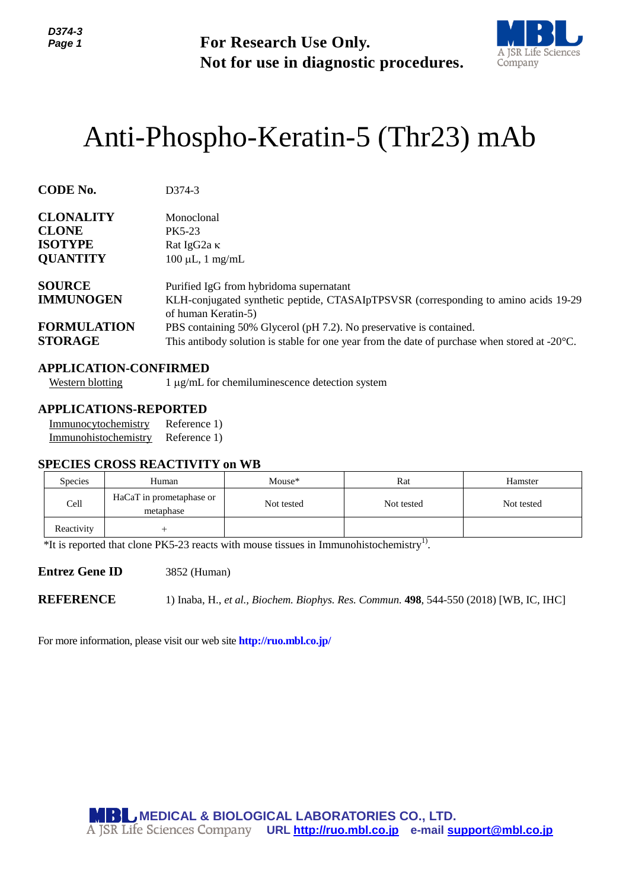

# Anti-Phospho-Keratin-5 (Thr23) mAb

| Page 1                                                                    |                                                                                                       | <b>For Research Use Only.</b><br>Not for use in diagnostic procedures.                                                                                                                                                                                                                                                                   |            | A JSR Life Sciences<br>Company |  |  |  |
|---------------------------------------------------------------------------|-------------------------------------------------------------------------------------------------------|------------------------------------------------------------------------------------------------------------------------------------------------------------------------------------------------------------------------------------------------------------------------------------------------------------------------------------------|------------|--------------------------------|--|--|--|
|                                                                           |                                                                                                       | Anti-Phospho-Keratin-5 (Thr23) mAb                                                                                                                                                                                                                                                                                                       |            |                                |  |  |  |
| <b>CODE No.</b>                                                           | D374-3                                                                                                |                                                                                                                                                                                                                                                                                                                                          |            |                                |  |  |  |
| <b>CLONALITY</b><br><b>CLONE</b><br><b>ISOTYPE</b><br><b>QUANTITY</b>     | Monoclonal<br>PK5-23<br>Rat IgG2a K                                                                   | $100 \mu L$ , 1 mg/mL                                                                                                                                                                                                                                                                                                                    |            |                                |  |  |  |
| <b>SOURCE</b><br><b>IMMUNOGEN</b><br><b>FORMULATION</b><br><b>STORAGE</b> |                                                                                                       | Purified IgG from hybridoma supernatant<br>KLH-conjugated synthetic peptide, CTASAIpTPSVSR (corresponding to amino acids 19-29)<br>of human Keratin-5)<br>PBS containing 50% Glycerol (pH 7.2). No preservative is contained.<br>This antibody solution is stable for one year from the date of purchase when stored at $-20^{\circ}$ C. |            |                                |  |  |  |
| <b>Western blotting</b>                                                   | <b>APPLICATION-CONFIRMED</b>                                                                          | 1 μg/mL for chemiluminescence detection system                                                                                                                                                                                                                                                                                           |            |                                |  |  |  |
| Immunocytochemistry<br>Immunohistochemistry                               | <b>APPLICATIONS-REPORTED</b><br>Reference 1)<br>Reference 1)<br><b>SPECIES CROSS REACTIVITY on WB</b> |                                                                                                                                                                                                                                                                                                                                          |            |                                |  |  |  |
| Species                                                                   | Human                                                                                                 | Mouse*                                                                                                                                                                                                                                                                                                                                   | Rat        | Hamster                        |  |  |  |
| Cell                                                                      | HaCaT in prometaphase or<br>metaphase                                                                 | Not tested                                                                                                                                                                                                                                                                                                                               | Not tested | Not tested                     |  |  |  |
| Reactivity                                                                | $^{+}$                                                                                                | *It is reported that clone PK5-23 reacts with mouse tissues in Immunohistochemistry <sup>1)</sup> .                                                                                                                                                                                                                                      |            |                                |  |  |  |
| <b>Entrez Gene ID</b>                                                     | 3852 (Human)                                                                                          |                                                                                                                                                                                                                                                                                                                                          |            |                                |  |  |  |
| <b>REFERENCE</b>                                                          |                                                                                                       | 1) Inaba, H., et al., Biochem. Biophys. Res. Commun. 498, 544-550 (2018) [WB, IC, IHC]                                                                                                                                                                                                                                                   |            |                                |  |  |  |
|                                                                           | For more information, please visit our web site <b>http://ruo.mbl.co.jp/</b>                          |                                                                                                                                                                                                                                                                                                                                          |            |                                |  |  |  |
|                                                                           |                                                                                                       | <b>MBL MEDICAL &amp; BIOLOGICAL LABORATORIES CO., LTD.</b><br>A JSR Life Sciences Company URL http://ruo.mbl.co.jp e-mail support@mbl.co.jp                                                                                                                                                                                              |            |                                |  |  |  |

# **APPLICATION-CONFIRMED**

### **APPLICATIONS-REPORTED**

| Immunocytochemistry  | Reference 1) |
|----------------------|--------------|
| Immunohistochemistry | Reference 1) |

#### **SPECIES CROSS REACTIVITY on WB**

| <b>Species</b> | Human                                 | Mouse*     | Rat        | Hamster    |
|----------------|---------------------------------------|------------|------------|------------|
| Cell           | HaCaT in prometaphase or<br>metaphase | Not tested | Not tested | Not tested |
| Reactivity     |                                       |            |            |            |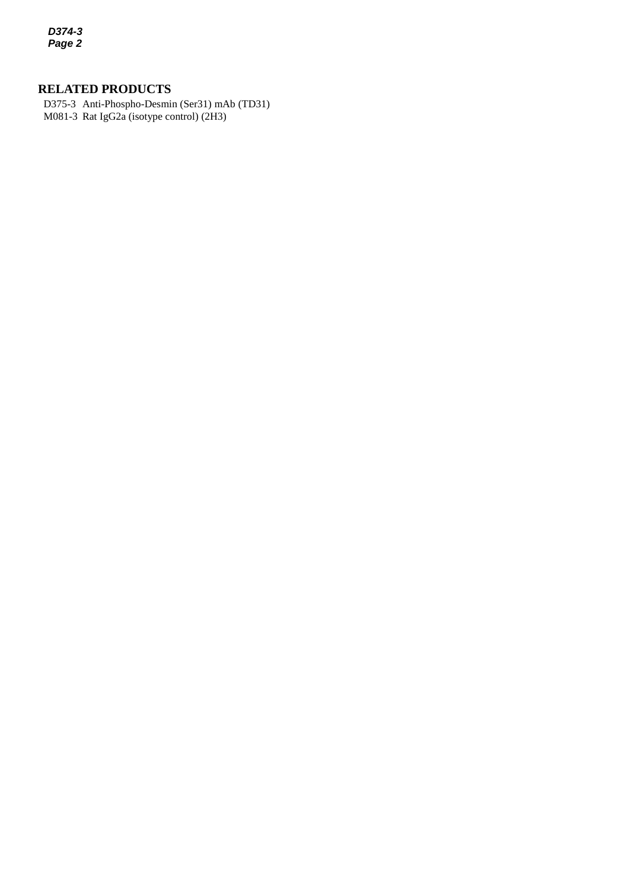*D374-3 Page 2*

# **RELATED PRODUCTS**

*3* M081-3 Rat IgG2a (isotype control) (2H3)D375-3 Anti-Phospho-Desmin (Ser31) mAb (TD31)